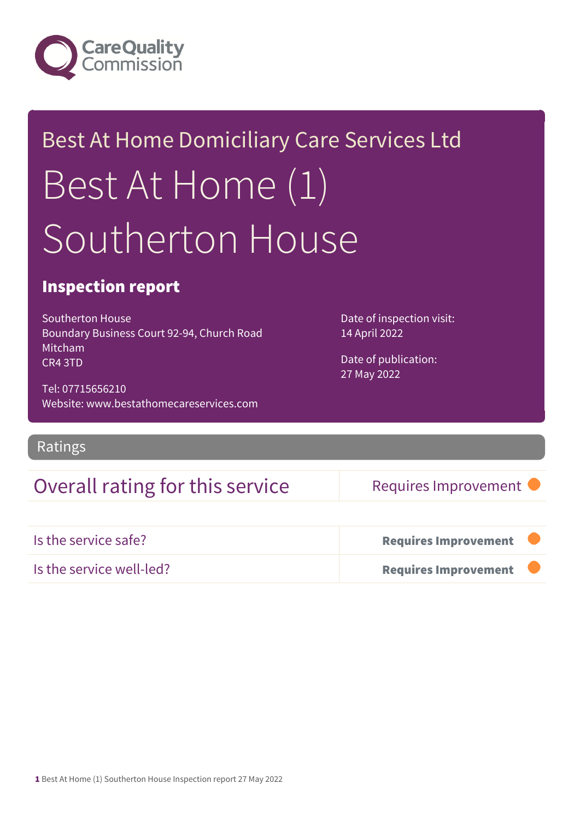

# Best At Home Domiciliary Care Services Ltd Best At Home (1) Southerton House

### Inspection report

Southerton House Boundary Business Court 92-94, Church Road Mitcham CR4 3TD

Tel: 07715656210 Website: www.bestathomecareservices.com

Ratings

### Overall rating for this service Requires Improvement

14 April 2022

Date of inspection visit:

Date of publication: 27 May 2022

| Is the service safe?     | Requires Improvement        |  |
|--------------------------|-----------------------------|--|
| Is the service well-led? | <b>Requires Improvement</b> |  |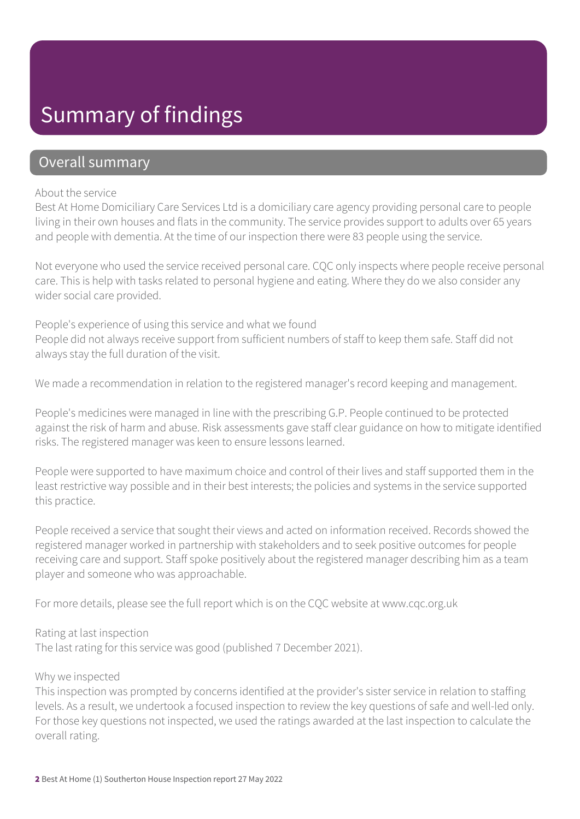## Summary of findings

### Overall summary

#### About the service

Best At Home Domiciliary Care Services Ltd is a domiciliary care agency providing personal care to people living in their own houses and flats in the community. The service provides support to adults over 65 years and people with dementia. At the time of our inspection there were 83 people using the service.

Not everyone who used the service received personal care. CQC only inspects where people receive personal care. This is help with tasks related to personal hygiene and eating. Where they do we also consider any wider social care provided.

People's experience of using this service and what we found People did not always receive support from sufficient numbers of staff to keep them safe. Staff did not always stay the full duration of the visit.

We made a recommendation in relation to the registered manager's record keeping and management.

People's medicines were managed in line with the prescribing G.P. People continued to be protected against the risk of harm and abuse. Risk assessments gave staff clear guidance on how to mitigate identified risks. The registered manager was keen to ensure lessons learned.

People were supported to have maximum choice and control of their lives and staff supported them in the least restrictive way possible and in their best interests; the policies and systems in the service supported this practice.

People received a service that sought their views and acted on information received. Records showed the registered manager worked in partnership with stakeholders and to seek positive outcomes for people receiving care and support. Staff spoke positively about the registered manager describing him as a team player and someone who was approachable.

For more details, please see the full report which is on the CQC website at www.cqc.org.uk

#### Rating at last inspection

The last rating for this service was good (published 7 December 2021).

#### Why we inspected

This inspection was prompted by concerns identified at the provider's sister service in relation to staffing levels. As a result, we undertook a focused inspection to review the key questions of safe and well-led only. For those key questions not inspected, we used the ratings awarded at the last inspection to calculate the overall rating.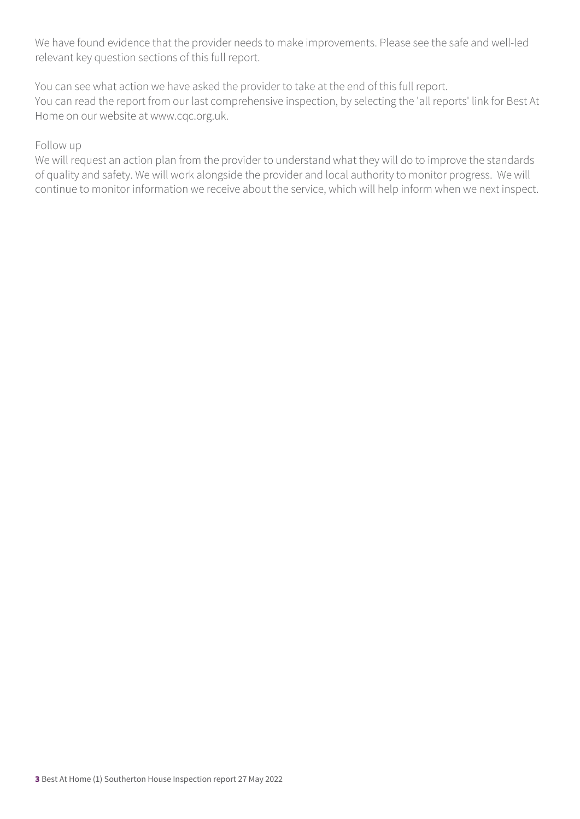We have found evidence that the provider needs to make improvements. Please see the safe and well-led relevant key question sections of this full report.

You can see what action we have asked the provider to take at the end of this full report. You can read the report from our last comprehensive inspection, by selecting the 'all reports' link for Best At Home on our website at www.cqc.org.uk.

#### Follow up

We will request an action plan from the provider to understand what they will do to improve the standards of quality and safety. We will work alongside the provider and local authority to monitor progress. We will continue to monitor information we receive about the service, which will help inform when we next inspect.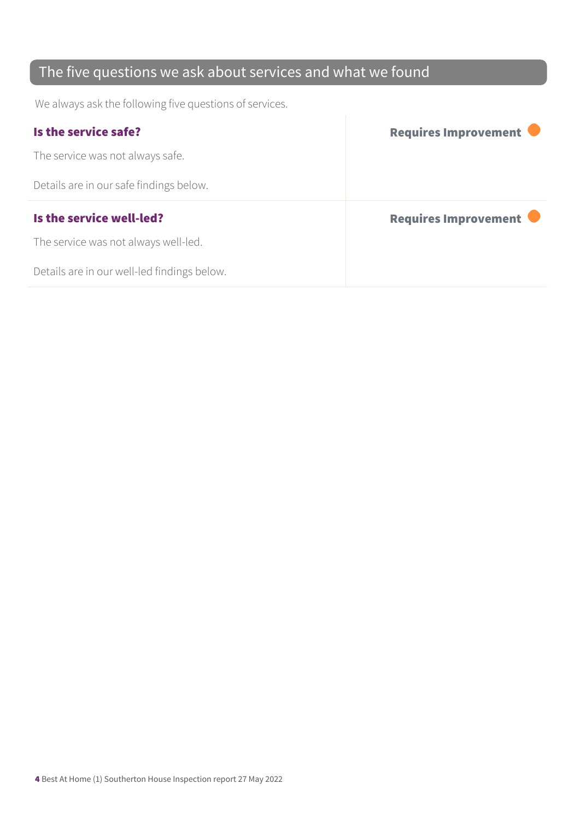### The five questions we ask about services and what we found

We always ask the following five questions of services.

| Is the service safe?                    | Requires Improvement |
|-----------------------------------------|----------------------|
| The service was not always safe.        |                      |
| Details are in our safe findings below. |                      |
|                                         |                      |
| Is the service well-led?                | Requires Improvement |
| The service was not always well-led.    |                      |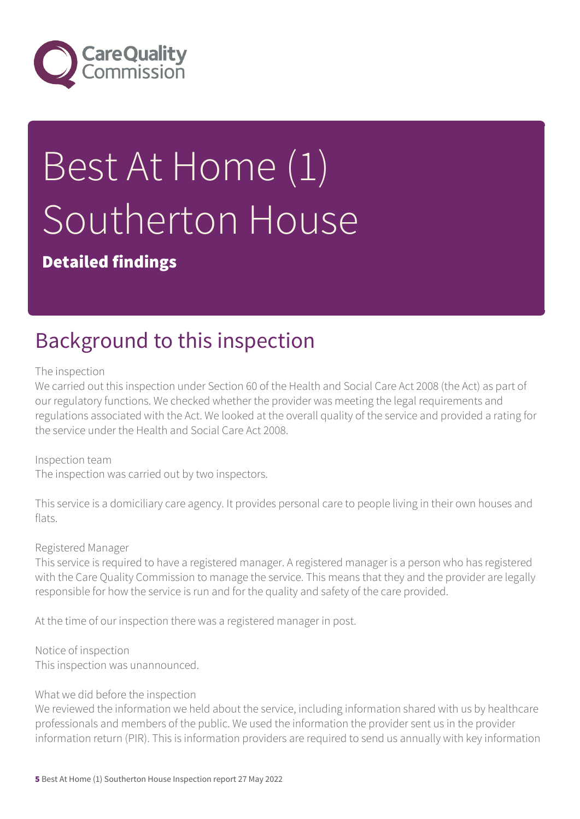

# Best At Home (1) Southerton House

### Detailed findings

# Background to this inspection

#### The inspection

We carried out this inspection under Section 60 of the Health and Social Care Act 2008 (the Act) as part of our regulatory functions. We checked whether the provider was meeting the legal requirements and regulations associated with the Act. We looked at the overall quality of the service and provided a rating for the service under the Health and Social Care Act 2008.

Inspection team The inspection was carried out by two inspectors.

This service is a domiciliary care agency. It provides personal care to people living in their own houses and flats.

#### Registered Manager

This service is required to have a registered manager. A registered manager is a person who has registered with the Care Quality Commission to manage the service. This means that they and the provider are legally responsible for how the service is run and for the quality and safety of the care provided.

At the time of our inspection there was a registered manager in post.

Notice of inspection This inspection was unannounced.

#### What we did before the inspection

We reviewed the information we held about the service, including information shared with us by healthcare professionals and members of the public. We used the information the provider sent us in the provider information return (PIR). This is information providers are required to send us annually with key information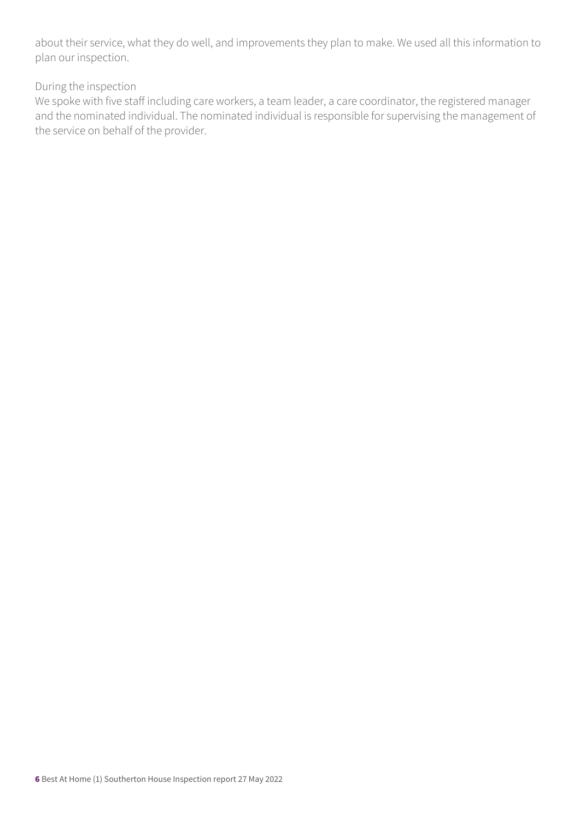about their service, what they do well, and improvements they plan to make. We used all this information to plan our inspection.

#### During the inspection

We spoke with five staff including care workers, a team leader, a care coordinator, the registered manager and the nominated individual. The nominated individual is responsible for supervising the management of the service on behalf of the provider.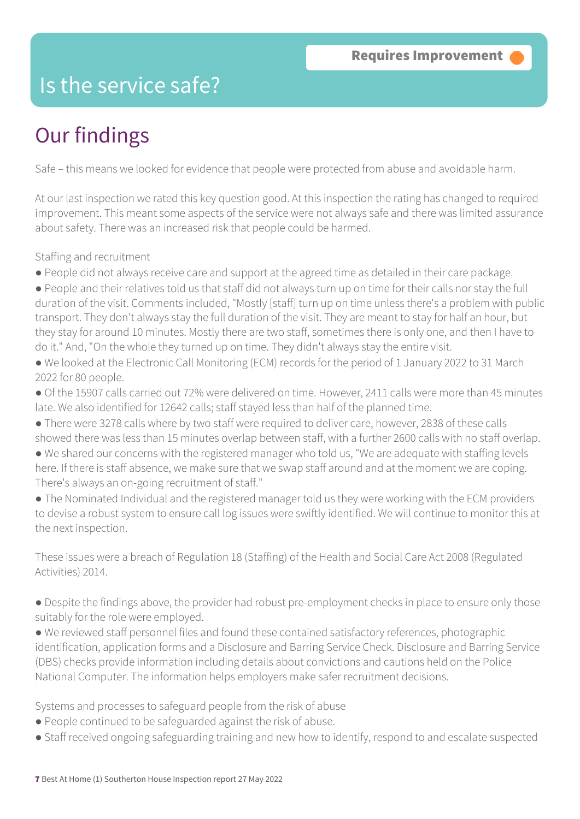### Is the service safe?

# Our findings

Safe – this means we looked for evidence that people were protected from abuse and avoidable harm.

At our last inspection we rated this key question good. At this inspection the rating has changed to required improvement. This meant some aspects of the service were not always safe and there was limited assurance about safety. There was an increased risk that people could be harmed.

Staffing and recruitment

- People did not always receive care and support at the agreed time as detailed in their care package.
- People and their relatives told us that staff did not always turn up on time for their calls nor stay the full duration of the visit. Comments included, "Mostly [staff] turn up on time unless there's a problem with public transport. They don't always stay the full duration of the visit. They are meant to stay for half an hour, but they stay for around 10 minutes. Mostly there are two staff, sometimes there is only one, and then I have to do it." And, "On the whole they turned up on time. They didn't always stay the entire visit.
- We looked at the Electronic Call Monitoring (ECM) records for the period of 1 January 2022 to 31 March 2022 for 80 people.
- Of the 15907 calls carried out 72% were delivered on time. However, 2411 calls were more than 45 minutes late. We also identified for 12642 calls; staff stayed less than half of the planned time.
- There were 3278 calls where by two staff were required to deliver care, however, 2838 of these calls showed there was less than 15 minutes overlap between staff, with a further 2600 calls with no staff overlap.
- We shared our concerns with the registered manager who told us, "We are adequate with staffing levels here. If there is staff absence, we make sure that we swap staff around and at the moment we are coping. There's always an on-going recruitment of staff."
- The Nominated Individual and the registered manager told us they were working with the ECM providers to devise a robust system to ensure call log issues were swiftly identified. We will continue to monitor this at the next inspection.

These issues were a breach of Regulation 18 (Staffing) of the Health and Social Care Act 2008 (Regulated Activities) 2014.

- Despite the findings above, the provider had robust pre-employment checks in place to ensure only those suitably for the role were employed.
- We reviewed staff personnel files and found these contained satisfactory references, photographic identification, application forms and a Disclosure and Barring Service Check. Disclosure and Barring Service (DBS) checks provide information including details about convictions and cautions held on the Police National Computer. The information helps employers make safer recruitment decisions.

Systems and processes to safeguard people from the risk of abuse

- People continued to be safeguarded against the risk of abuse.
- Staff received ongoing safeguarding training and new how to identify, respond to and escalate suspected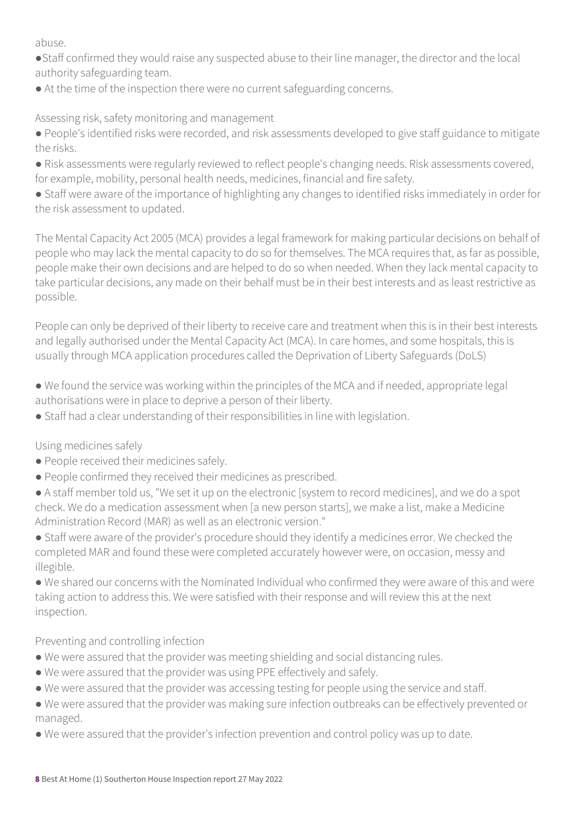abuse.

- ●Staff confirmed they would raise any suspected abuse to their line manager, the director and the local authority safeguarding team.
- At the time of the inspection there were no current safeguarding concerns.

Assessing risk, safety monitoring and management

- People's identified risks were recorded, and risk assessments developed to give staff guidance to mitigate the risks.
- Risk assessments were regularly reviewed to reflect people's changing needs. Risk assessments covered, for example, mobility, personal health needs, medicines, financial and fire safety.
- Staff were aware of the importance of highlighting any changes to identified risks immediately in order for the risk assessment to updated.

The Mental Capacity Act 2005 (MCA) provides a legal framework for making particular decisions on behalf of people who may lack the mental capacity to do so for themselves. The MCA requires that, as far as possible, people make their own decisions and are helped to do so when needed. When they lack mental capacity to take particular decisions, any made on their behalf must be in their best interests and as least restrictive as possible.

People can only be deprived of their liberty to receive care and treatment when this is in their best interests and legally authorised under the Mental Capacity Act (MCA). In care homes, and some hospitals, this is usually through MCA application procedures called the Deprivation of Liberty Safeguards (DoLS)

- We found the service was working within the principles of the MCA and if needed, appropriate legal authorisations were in place to deprive a person of their liberty.
- Staff had a clear understanding of their responsibilities in line with legislation.

Using medicines safely

- People received their medicines safely.
- People confirmed they received their medicines as prescribed.
- A staff member told us, "We set it up on the electronic [system to record medicines], and we do a spot check. We do a medication assessment when [a new person starts], we make a list, make a Medicine Administration Record (MAR) as well as an electronic version."
- Staff were aware of the provider's procedure should they identify a medicines error. We checked the completed MAR and found these were completed accurately however were, on occasion, messy and illegible.

● We shared our concerns with the Nominated Individual who confirmed they were aware of this and were taking action to address this. We were satisfied with their response and will review this at the next inspection.

### Preventing and controlling infection

- We were assured that the provider was meeting shielding and social distancing rules.
- We were assured that the provider was using PPE effectively and safely.
- We were assured that the provider was accessing testing for people using the service and staff.
- We were assured that the provider was making sure infection outbreaks can be effectively prevented or managed.
- We were assured that the provider's infection prevention and control policy was up to date.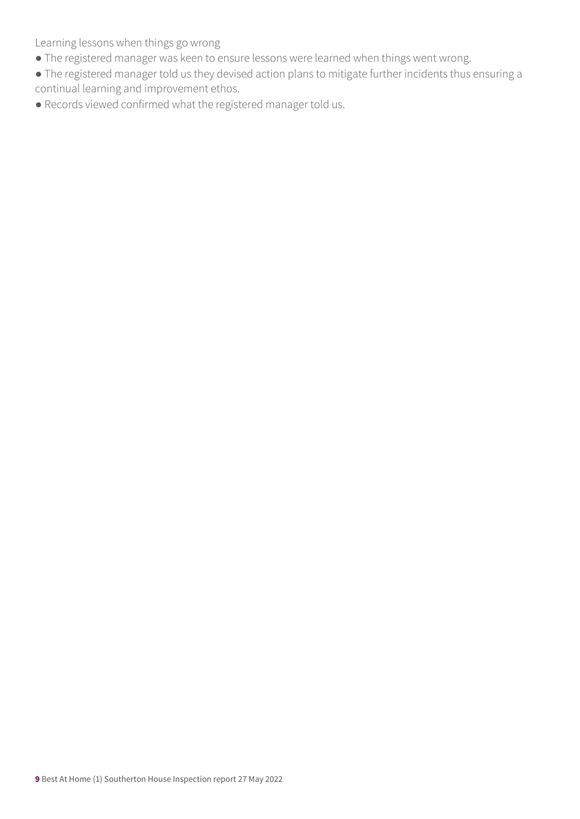Learning lessons when things go wrong

- The registered manager was keen to ensure lessons were learned when things went wrong.
- The registered manager told us they devised action plans to mitigate further incidents thus ensuring a continual learning and improvement ethos.
- Records viewed confirmed what the registered manager told us.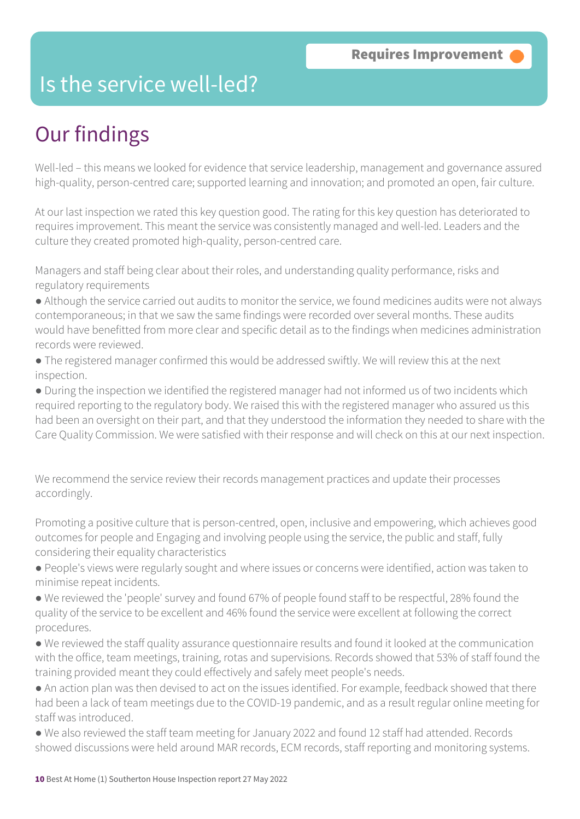### Is the service well-led?

# Our findings

Well-led – this means we looked for evidence that service leadership, management and governance assured high-quality, person-centred care; supported learning and innovation; and promoted an open, fair culture.

At our last inspection we rated this key question good. The rating for this key question has deteriorated to requires improvement. This meant the service was consistently managed and well-led. Leaders and the culture they created promoted high-quality, person-centred care.

Managers and staff being clear about their roles, and understanding quality performance, risks and regulatory requirements

● Although the service carried out audits to monitor the service, we found medicines audits were not always contemporaneous; in that we saw the same findings were recorded over several months. These audits would have benefitted from more clear and specific detail as to the findings when medicines administration records were reviewed.

● The registered manager confirmed this would be addressed swiftly. We will review this at the next inspection.

● During the inspection we identified the registered manager had not informed us of two incidents which required reporting to the regulatory body. We raised this with the registered manager who assured us this had been an oversight on their part, and that they understood the information they needed to share with the Care Quality Commission. We were satisfied with their response and will check on this at our next inspection.

We recommend the service review their records management practices and update their processes accordingly.

Promoting a positive culture that is person-centred, open, inclusive and empowering, which achieves good outcomes for people and Engaging and involving people using the service, the public and staff, fully considering their equality characteristics

- People's views were regularly sought and where issues or concerns were identified, action was taken to minimise repeat incidents.
- We reviewed the 'people' survey and found 67% of people found staff to be respectful, 28% found the quality of the service to be excellent and 46% found the service were excellent at following the correct procedures.
- We reviewed the staff quality assurance questionnaire results and found it looked at the communication with the office, team meetings, training, rotas and supervisions. Records showed that 53% of staff found the training provided meant they could effectively and safely meet people's needs.
- An action plan was then devised to act on the issues identified. For example, feedback showed that there had been a lack of team meetings due to the COVID-19 pandemic, and as a result regular online meeting for staff was introduced.
- We also reviewed the staff team meeting for January 2022 and found 12 staff had attended. Records showed discussions were held around MAR records, ECM records, staff reporting and monitoring systems.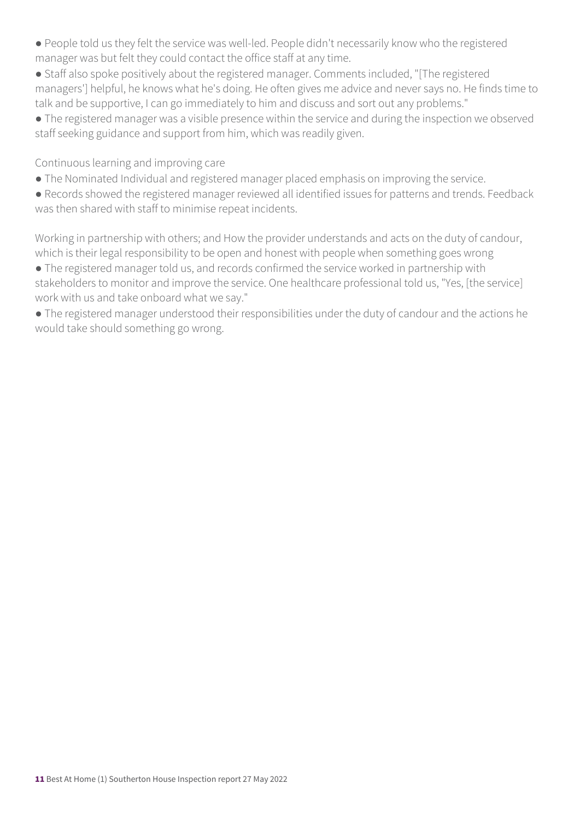- People told us they felt the service was well-led. People didn't necessarily know who the registered manager was but felt they could contact the office staff at any time.
- Staff also spoke positively about the registered manager. Comments included, "[The registered managers'] helpful, he knows what he's doing. He often gives me advice and never says no. He finds time to talk and be supportive, I can go immediately to him and discuss and sort out any problems."
- The registered manager was a visible presence within the service and during the inspection we observed staff seeking guidance and support from him, which was readily given.

Continuous learning and improving care

- The Nominated Individual and registered manager placed emphasis on improving the service.
- Records showed the registered manager reviewed all identified issues for patterns and trends. Feedback was then shared with staff to minimise repeat incidents.

Working in partnership with others; and How the provider understands and acts on the duty of candour, which is their legal responsibility to be open and honest with people when something goes wrong

● The registered manager told us, and records confirmed the service worked in partnership with stakeholders to monitor and improve the service. One healthcare professional told us, "Yes, [the service] work with us and take onboard what we say."

● The registered manager understood their responsibilities under the duty of candour and the actions he would take should something go wrong.